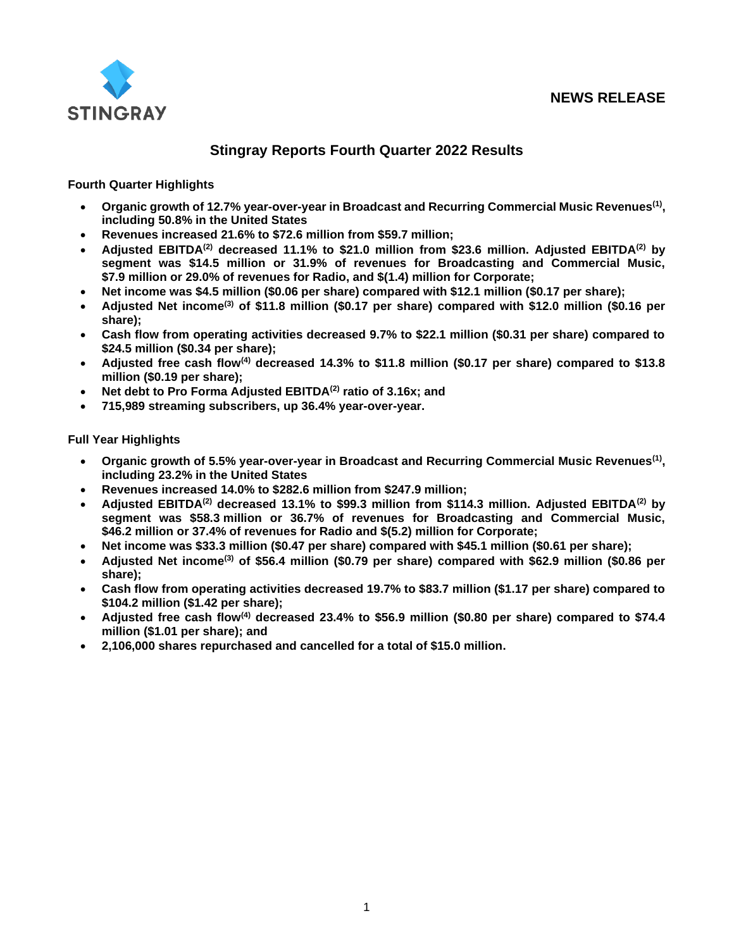

# **Stingray Reports Fourth Quarter 2022 Results**

**Fourth Quarter Highlights**

- **Organic growth of 12.7% year-over-year in Broadcast and Recurring Commercial Music Revenues(1) , including 50.8% in the United States**
- **Revenues increased 21.6% to \$72.6 million from \$59.7 million;**
- **Adjusted EBITDA(2) decreased 11.1% to \$21.0 million from \$23.6 million. Adjusted EBITDA(2) by segment was \$14.5 million or 31.9% of revenues for Broadcasting and Commercial Music, \$7.9 million or 29.0% of revenues for Radio, and \$(1.4) million for Corporate;**
- **Net income was \$4.5 million (\$0.06 per share) compared with \$12.1 million (\$0.17 per share);**
- **Adjusted Net income(3) of \$11.8 million (\$0.17 per share) compared with \$12.0 million (\$0.16 per share);**
- **Cash flow from operating activities decreased 9.7% to \$22.1 million (\$0.31 per share) compared to \$24.5 million (\$0.34 per share);**
- **Adjusted free cash flow(4) decreased 14.3% to \$11.8 million (\$0.17 per share) compared to \$13.8 million (\$0.19 per share);**
- **Net debt to Pro Forma Adjusted EBITDA(2) ratio of 3.16x; and**
- **715,989 streaming subscribers, up 36.4% year-over-year.**

**Full Year Highlights**

- **Organic growth of 5.5% year-over-year in Broadcast and Recurring Commercial Music Revenues(1) , including 23.2% in the United States**
- **Revenues increased 14.0% to \$282.6 million from \$247.9 million;**
- **Adjusted EBITDA(2) decreased 13.1% to \$99.3 million from \$114.3 million. Adjusted EBITDA(2) by segment was \$58.3 million or 36.7% of revenues for Broadcasting and Commercial Music, \$46.2 million or 37.4% of revenues for Radio and \$(5.2) million for Corporate;**
- **Net income was \$33.3 million (\$0.47 per share) compared with \$45.1 million (\$0.61 per share);**
- **Adjusted Net income(3) of \$56.4 million (\$0.79 per share) compared with \$62.9 million (\$0.86 per share);**
- **Cash flow from operating activities decreased 19.7% to \$83.7 million (\$1.17 per share) compared to \$104.2 million (\$1.42 per share);**
- **Adjusted free cash flow(4) decreased 23.4% to \$56.9 million (\$0.80 per share) compared to \$74.4 million (\$1.01 per share); and**
- **2,106,000 shares repurchased and cancelled for a total of \$15.0 million.**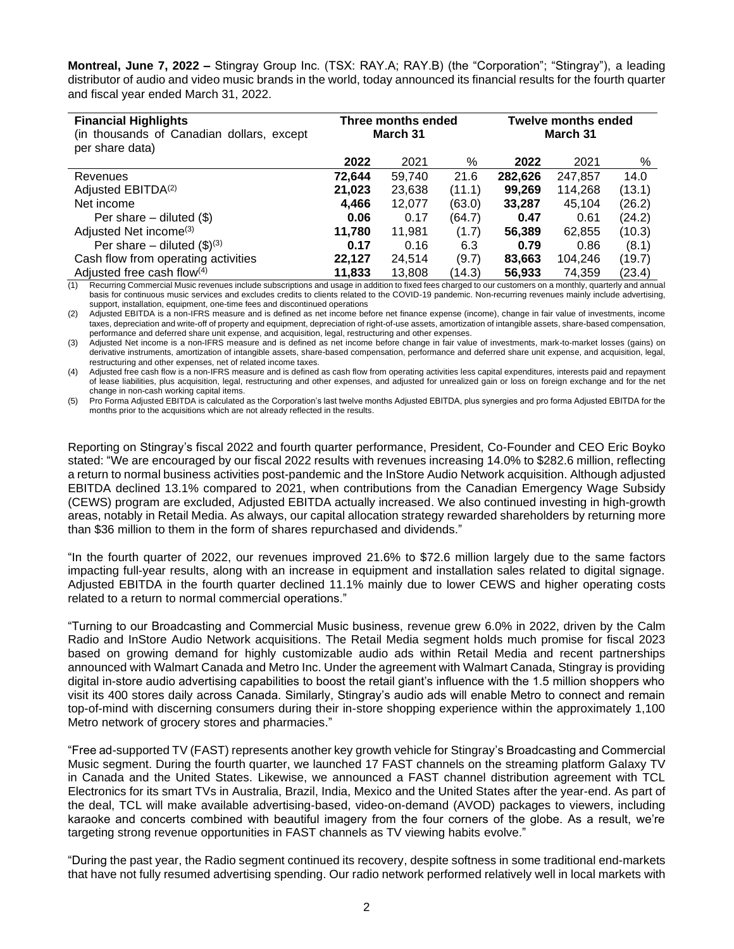**Montreal, June 7, 2022 –** Stingray Group Inc. (TSX: RAY.A; RAY.B) (the "Corporation"; "Stingray"), a leading distributor of audio and video music brands in the world, today announced its financial results for the fourth quarter and fiscal year ended March 31, 2022.

| <b>Financial Highlights</b><br>(in thousands of Canadian dollars, except<br>per share data) | Three months ended<br>March 31 |        |        | <b>Twelve months ended</b><br>March 31 |         |        |
|---------------------------------------------------------------------------------------------|--------------------------------|--------|--------|----------------------------------------|---------|--------|
|                                                                                             | 2022                           | 2021   | %      | 2022                                   | 2021    | $\%$   |
| Revenues                                                                                    | 72.644                         | 59,740 | 21.6   | 282,626                                | 247,857 | 14.0   |
| Adjusted EBITDA <sup>(2)</sup>                                                              | 21,023                         | 23,638 | (11.1) | 99,269                                 | 114,268 | (13.1) |
| Net income                                                                                  | 4,466                          | 12.077 | (63.0) | 33,287                                 | 45.104  | (26.2) |
| Per share $-$ diluted $(\$)$                                                                | 0.06                           | 0.17   | (64.7) | 0.47                                   | 0.61    | (24.2) |
| Adjusted Net income <sup>(3)</sup>                                                          | 11.780                         | 11.981 | (1.7)  | 56,389                                 | 62,855  | (10.3) |
| Per share – diluted $(\$)^{(3)}$                                                            | 0.17                           | 0.16   | 6.3    | 0.79                                   | 0.86    | (8.1)  |
| Cash flow from operating activities                                                         | 22,127                         | 24,514 | (9.7)  | 83,663                                 | 104,246 | (19.7) |
| Adjusted free cash flow <sup>(4)</sup>                                                      | 11,833                         | 13,808 | (14.3) | 56,933                                 | 74,359  | (23.4) |

(1) Recurring Commercial Music revenues include subscriptions and usage in addition to fixed fees charged to our customers on a monthly, quarterly and annual basis for continuous music services and excludes credits to clients related to the COVID-19 pandemic. Non-recurring revenues mainly include advertising, support, installation, equipment, one-time fees and discontinued operations

(2) Adjusted EBITDA is a non-IFRS measure and is defined as net income before net finance expense (income), change in fair value of investments, income taxes, depreciation and write-off of property and equipment, depreciation of right-of-use assets, amortization of intangible assets, share-based compensation, performance and deferred share unit expense, and acquisition, legal, restructuring and other expenses.

(3) Adjusted Net income is a non-IFRS measure and is defined as net income before change in fair value of investments, mark-to-market losses (gains) on derivative instruments, amortization of intangible assets, share-based compensation, performance and deferred share unit expense, and acquisition, legal, restructuring and other expenses, net of related income taxes.

(4) Adjusted free cash flow is a non-IFRS measure and is defined as cash flow from operating activities less capital expenditures, interests paid and repayment of lease liabilities, plus acquisition, legal, restructuring and other expenses, and adjusted for unrealized gain or loss on foreign exchange and for the net change in non-cash working capital items.

(5) Pro Forma Adjusted EBITDA is calculated as the Corporation's last twelve months Adjusted EBITDA, plus synergies and pro forma Adjusted EBITDA for the months prior to the acquisitions which are not already reflected in the results.

Reporting on Stingray's fiscal 2022 and fourth quarter performance, President, Co-Founder and CEO Eric Boyko stated: "We are encouraged by our fiscal 2022 results with revenues increasing 14.0% to \$282.6 million, reflecting a return to normal business activities post-pandemic and the InStore Audio Network acquisition. Although adjusted EBITDA declined 13.1% compared to 2021, when contributions from the Canadian Emergency Wage Subsidy (CEWS) program are excluded, Adjusted EBITDA actually increased. We also continued investing in high-growth areas, notably in Retail Media. As always, our capital allocation strategy rewarded shareholders by returning more than \$36 million to them in the form of shares repurchased and dividends."

"In the fourth quarter of 2022, our revenues improved 21.6% to \$72.6 million largely due to the same factors impacting full-year results, along with an increase in equipment and installation sales related to digital signage. Adjusted EBITDA in the fourth quarter declined 11.1% mainly due to lower CEWS and higher operating costs related to a return to normal commercial operations."

"Turning to our Broadcasting and Commercial Music business, revenue grew 6.0% in 2022, driven by the Calm Radio and InStore Audio Network acquisitions. The Retail Media segment holds much promise for fiscal 2023 based on growing demand for highly customizable audio ads within Retail Media and recent partnerships announced with Walmart Canada and Metro Inc. Under the agreement with Walmart Canada, Stingray is providing digital in-store audio advertising capabilities to boost the retail giant's influence with the 1.5 million shoppers who visit its 400 stores daily across Canada. Similarly, Stingray's audio ads will enable Metro to connect and remain top-of-mind with discerning consumers during their in-store shopping experience within the approximately 1,100 Metro network of grocery stores and pharmacies."

"Free ad-supported TV (FAST) represents another key growth vehicle for Stingray's Broadcasting and Commercial Music segment. During the fourth quarter, we launched 17 FAST channels on the streaming platform Galaxy TV in Canada and the United States. Likewise, we announced a FAST channel distribution agreement with TCL Electronics for its smart TVs in Australia, Brazil, India, Mexico and the United States after the year-end. As part of the deal, TCL will make available advertising-based, video-on-demand (AVOD) packages to viewers, including karaoke and concerts combined with beautiful imagery from the four corners of the globe. As a result, we're targeting strong revenue opportunities in FAST channels as TV viewing habits evolve."

"During the past year, the Radio segment continued its recovery, despite softness in some traditional end-markets that have not fully resumed advertising spending. Our radio network performed relatively well in local markets with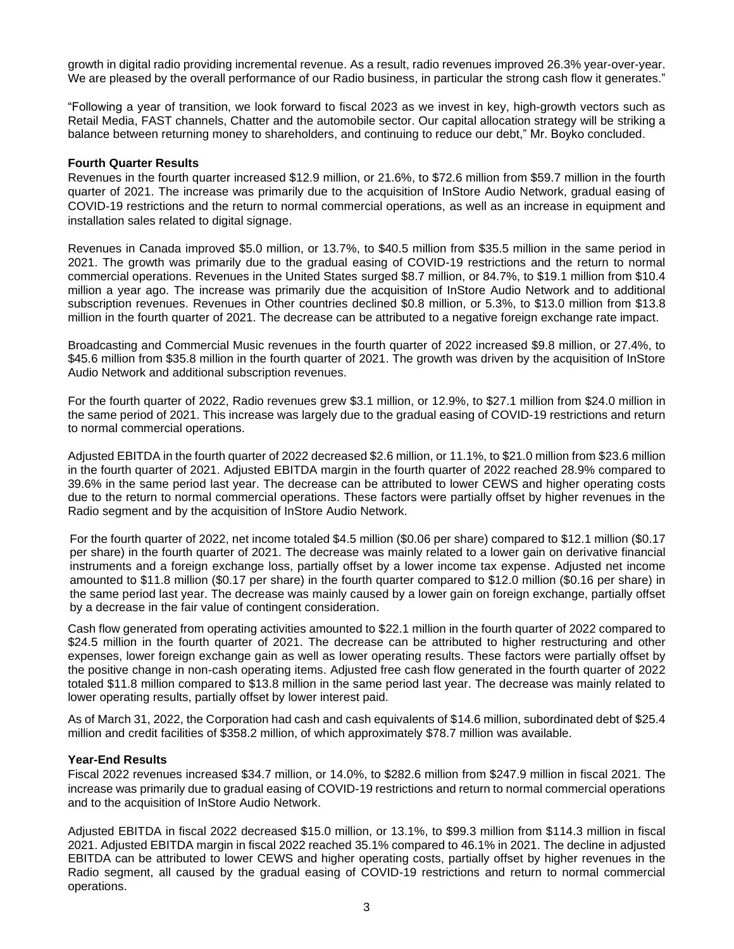growth in digital radio providing incremental revenue. As a result, radio revenues improved 26.3% year-over-year. We are pleased by the overall performance of our Radio business, in particular the strong cash flow it generates."

"Following a year of transition, we look forward to fiscal 2023 as we invest in key, high-growth vectors such as Retail Media, FAST channels, Chatter and the automobile sector. Our capital allocation strategy will be striking a balance between returning money to shareholders, and continuing to reduce our debt," Mr. Boyko concluded.

#### **Fourth Quarter Results**

Revenues in the fourth quarter increased \$12.9 million, or 21.6%, to \$72.6 million from \$59.7 million in the fourth quarter of 2021. The increase was primarily due to the acquisition of InStore Audio Network, gradual easing of COVID-19 restrictions and the return to normal commercial operations, as well as an increase in equipment and installation sales related to digital signage.

Revenues in Canada improved \$5.0 million, or 13.7%, to \$40.5 million from \$35.5 million in the same period in 2021. The growth was primarily due to the gradual easing of COVID-19 restrictions and the return to normal commercial operations. Revenues in the United States surged \$8.7 million, or 84.7%, to \$19.1 million from \$10.4 million a year ago. The increase was primarily due the acquisition of InStore Audio Network and to additional subscription revenues. Revenues in Other countries declined \$0.8 million, or 5.3%, to \$13.0 million from \$13.8 million in the fourth quarter of 2021. The decrease can be attributed to a negative foreign exchange rate impact.

Broadcasting and Commercial Music revenues in the fourth quarter of 2022 increased \$9.8 million, or 27.4%, to \$45.6 million from \$35.8 million in the fourth quarter of 2021. The growth was driven by the acquisition of InStore Audio Network and additional subscription revenues.

For the fourth quarter of 2022, Radio revenues grew \$3.1 million, or 12.9%, to \$27.1 million from \$24.0 million in the same period of 2021. This increase was largely due to the gradual easing of COVID-19 restrictions and return to normal commercial operations.

Adjusted EBITDA in the fourth quarter of 2022 decreased \$2.6 million, or 11.1%, to \$21.0 million from \$23.6 million in the fourth quarter of 2021. Adjusted EBITDA margin in the fourth quarter of 2022 reached 28.9% compared to 39.6% in the same period last year. The decrease can be attributed to lower CEWS and higher operating costs due to the return to normal commercial operations. These factors were partially offset by higher revenues in the Radio segment and by the acquisition of InStore Audio Network.

For the fourth quarter of 2022, net income totaled \$4.5 million (\$0.06 per share) compared to \$12.1 million (\$0.17 per share) in the fourth quarter of 2021. The decrease was mainly related to a lower gain on derivative financial instruments and a foreign exchange loss, partially offset by a lower income tax expense. Adjusted net income amounted to \$11.8 million (\$0.17 per share) in the fourth quarter compared to \$12.0 million (\$0.16 per share) in the same period last year. The decrease was mainly caused by a lower gain on foreign exchange, partially offset by a decrease in the fair value of contingent consideration.

Cash flow generated from operating activities amounted to \$22.1 million in the fourth quarter of 2022 compared to \$24.5 million in the fourth quarter of 2021. The decrease can be attributed to higher restructuring and other expenses, lower foreign exchange gain as well as lower operating results. These factors were partially offset by the positive change in non-cash operating items. Adjusted free cash flow generated in the fourth quarter of 2022 totaled \$11.8 million compared to \$13.8 million in the same period last year. The decrease was mainly related to lower operating results, partially offset by lower interest paid.

As of March 31, 2022, the Corporation had cash and cash equivalents of \$14.6 million, subordinated debt of \$25.4 million and credit facilities of \$358.2 million, of which approximately \$78.7 million was available.

#### **Year-End Results**

Fiscal 2022 revenues increased \$34.7 million, or 14.0%, to \$282.6 million from \$247.9 million in fiscal 2021. The increase was primarily due to gradual easing of COVID-19 restrictions and return to normal commercial operations and to the acquisition of InStore Audio Network.

Adjusted EBITDA in fiscal 2022 decreased \$15.0 million, or 13.1%, to \$99.3 million from \$114.3 million in fiscal 2021. Adjusted EBITDA margin in fiscal 2022 reached 35.1% compared to 46.1% in 2021. The decline in adjusted EBITDA can be attributed to lower CEWS and higher operating costs, partially offset by higher revenues in the Radio segment, all caused by the gradual easing of COVID-19 restrictions and return to normal commercial operations.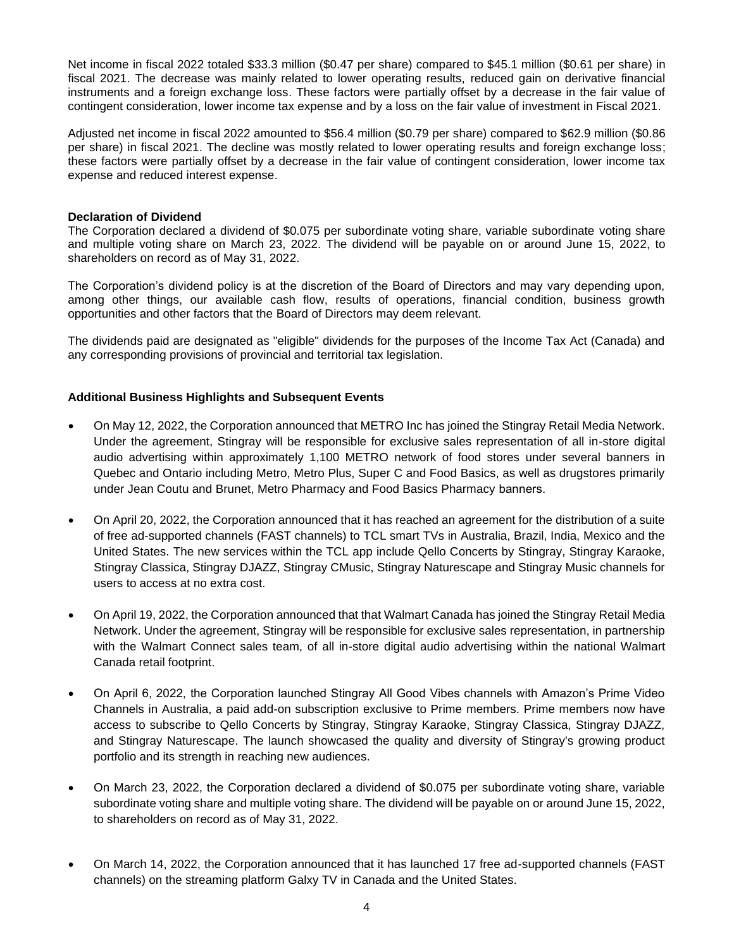Net income in fiscal 2022 totaled \$33.3 million (\$0.47 per share) compared to \$45.1 million (\$0.61 per share) in fiscal 2021. The decrease was mainly related to lower operating results, reduced gain on derivative financial instruments and a foreign exchange loss. These factors were partially offset by a decrease in the fair value of contingent consideration, lower income tax expense and by a loss on the fair value of investment in Fiscal 2021.

Adjusted net income in fiscal 2022 amounted to \$56.4 million (\$0.79 per share) compared to \$62.9 million (\$0.86 per share) in fiscal 2021. The decline was mostly related to lower operating results and foreign exchange loss; these factors were partially offset by a decrease in the fair value of contingent consideration, lower income tax expense and reduced interest expense.

#### **Declaration of Dividend**

The Corporation declared a dividend of \$0.075 per subordinate voting share, variable subordinate voting share and multiple voting share on March 23, 2022. The dividend will be payable on or around June 15, 2022, to shareholders on record as of May 31, 2022.

The Corporation's dividend policy is at the discretion of the Board of Directors and may vary depending upon, among other things, our available cash flow, results of operations, financial condition, business growth opportunities and other factors that the Board of Directors may deem relevant.

The dividends paid are designated as "eligible" dividends for the purposes of the Income Tax Act (Canada) and any corresponding provisions of provincial and territorial tax legislation.

## **Additional Business Highlights and Subsequent Events**

- On May 12, 2022, the Corporation announced that METRO Inc has joined the Stingray Retail Media Network. Under the agreement, Stingray will be responsible for exclusive sales representation of all in-store digital audio advertising within approximately 1,100 METRO network of food stores under several banners in Quebec and Ontario including Metro, Metro Plus, Super C and Food Basics, as well as drugstores primarily under Jean Coutu and Brunet, Metro Pharmacy and Food Basics Pharmacy banners.
- On April 20, 2022, the Corporation announced that it has reached an agreement for the distribution of a suite of free ad-supported channels (FAST channels) to TCL smart TVs in Australia, Brazil, India, Mexico and the United States. The new services within the TCL app include Qello Concerts by Stingray, Stingray Karaoke, Stingray Classica, Stingray DJAZZ, Stingray CMusic, Stingray Naturescape and Stingray Music channels for users to access at no extra cost.
- On April 19, 2022, the Corporation announced that that Walmart Canada has joined the Stingray Retail Media Network. Under the agreement, Stingray will be responsible for exclusive sales representation, in partnership with the Walmart Connect sales team, of all in-store digital audio advertising within the national Walmart Canada retail footprint.
- On April 6, 2022, the Corporation launched Stingray All Good Vibes channels with Amazon's Prime Video Channels in Australia, a paid add-on subscription exclusive to Prime members. Prime members now have access to subscribe to Qello Concerts by Stingray, Stingray Karaoke, Stingray Classica, Stingray DJAZZ, and Stingray Naturescape. The launch showcased the quality and diversity of Stingray's growing product portfolio and its strength in reaching new audiences.
- On March 23, 2022, the Corporation declared a dividend of \$0.075 per subordinate voting share, variable subordinate voting share and multiple voting share. The dividend will be payable on or around June 15, 2022, to shareholders on record as of May 31, 2022.
- On March 14, 2022, the Corporation announced that it has launched 17 free ad-supported channels (FAST channels) on the streaming platform Galxy TV in Canada and the United States.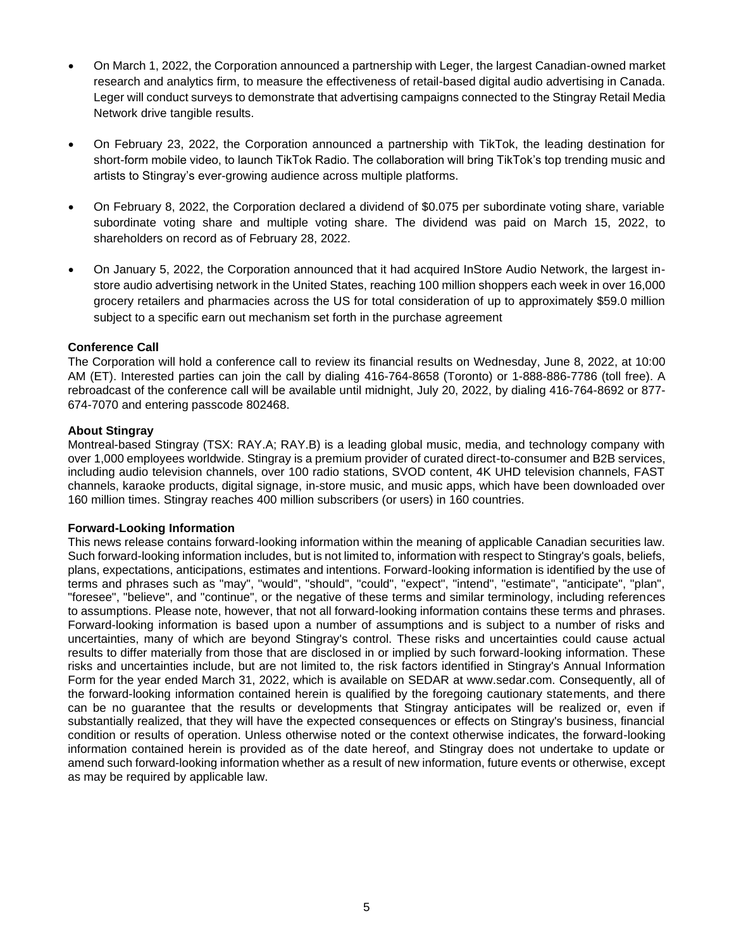- On March 1, 2022, the Corporation announced a partnership with Leger, the largest Canadian-owned market research and analytics firm, to measure the effectiveness of retail-based digital audio advertising in Canada. Leger will conduct surveys to demonstrate that advertising campaigns connected to the Stingray Retail Media Network drive tangible results.
- On February 23, 2022, the Corporation announced a partnership with TikTok, the leading destination for short-form mobile video, to launch TikTok Radio. The collaboration will bring TikTok's top trending music and artists to Stingray's ever-growing audience across multiple platforms.
- On February 8, 2022, the Corporation declared a dividend of \$0.075 per subordinate voting share, variable subordinate voting share and multiple voting share. The dividend was paid on March 15, 2022, to shareholders on record as of February 28, 2022.
- On January 5, 2022, the Corporation announced that it had acquired InStore Audio Network, the largest instore audio advertising network in the United States, reaching 100 million shoppers each week in over 16,000 grocery retailers and pharmacies across the US for total consideration of up to approximately \$59.0 million subject to a specific earn out mechanism set forth in the purchase agreement

## **Conference Call**

The Corporation will hold a conference call to review its financial results on Wednesday, June 8, 2022, at 10:00 AM (ET). Interested parties can join the call by dialing 416-764-8658 (Toronto) or 1-888-886-7786 (toll free). A rebroadcast of the conference call will be available until midnight, July 20, 2022, by dialing 416-764-8692 or 877- 674-7070 and entering passcode 802468.

#### **About Stingray**

Montreal-based Stingray (TSX: RAY.A; RAY.B) is a leading global music, media, and technology company with over 1,000 employees worldwide. Stingray is a premium provider of curated direct-to-consumer and B2B services, including audio television channels, over 100 radio stations, SVOD content, 4K UHD television channels, FAST channels, karaoke products, digital signage, in-store music, and music apps, which have been downloaded over 160 million times. Stingray reaches 400 million subscribers (or users) in 160 countries.

#### **Forward-Looking Information**

This news release contains forward-looking information within the meaning of applicable Canadian securities law. Such forward-looking information includes, but is not limited to, information with respect to Stingray's goals, beliefs, plans, expectations, anticipations, estimates and intentions. Forward-looking information is identified by the use of terms and phrases such as "may", "would", "should", "could", "expect", "intend", "estimate", "anticipate", "plan", "foresee", "believe", and "continue", or the negative of these terms and similar terminology, including references to assumptions. Please note, however, that not all forward-looking information contains these terms and phrases. Forward-looking information is based upon a number of assumptions and is subject to a number of risks and uncertainties, many of which are beyond Stingray's control. These risks and uncertainties could cause actual results to differ materially from those that are disclosed in or implied by such forward-looking information. These risks and uncertainties include, but are not limited to, the risk factors identified in Stingray's Annual Information Form for the year ended March 31, 2022, which is available on SEDAR at www.sedar.com. Consequently, all of the forward-looking information contained herein is qualified by the foregoing cautionary statements, and there can be no guarantee that the results or developments that Stingray anticipates will be realized or, even if substantially realized, that they will have the expected consequences or effects on Stingray's business, financial condition or results of operation. Unless otherwise noted or the context otherwise indicates, the forward-looking information contained herein is provided as of the date hereof, and Stingray does not undertake to update or amend such forward-looking information whether as a result of new information, future events or otherwise, except as may be required by applicable law.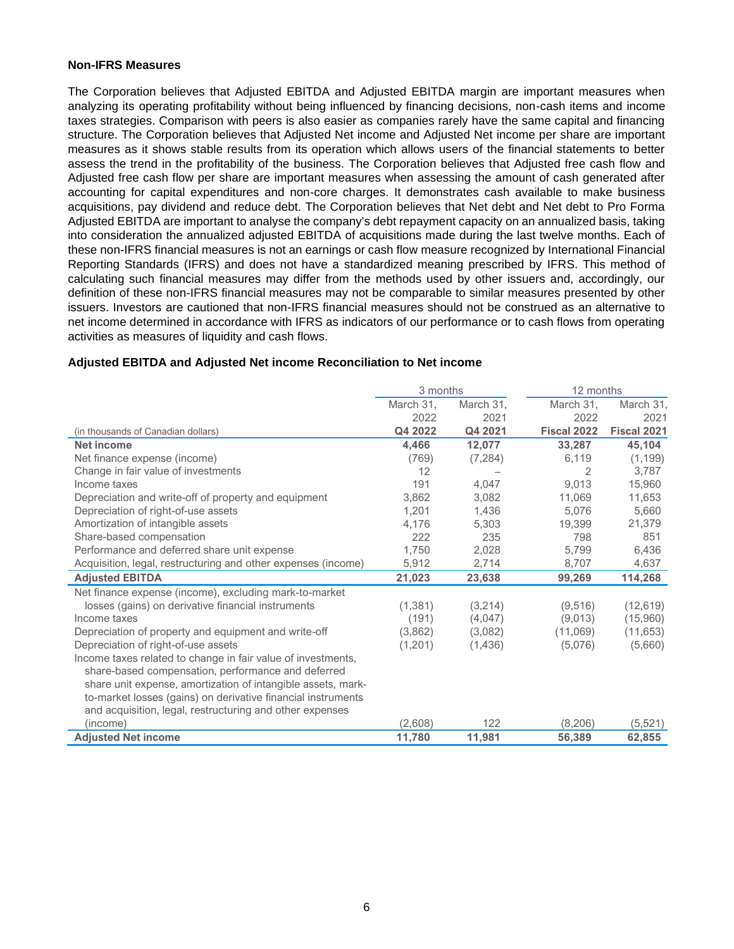## **Non-IFRS Measures**

The Corporation believes that Adjusted EBITDA and Adjusted EBITDA margin are important measures when analyzing its operating profitability without being influenced by financing decisions, non-cash items and income taxes strategies. Comparison with peers is also easier as companies rarely have the same capital and financing structure. The Corporation believes that Adjusted Net income and Adjusted Net income per share are important measures as it shows stable results from its operation which allows users of the financial statements to better assess the trend in the profitability of the business. The Corporation believes that Adjusted free cash flow and Adjusted free cash flow per share are important measures when assessing the amount of cash generated after accounting for capital expenditures and non-core charges. It demonstrates cash available to make business acquisitions, pay dividend and reduce debt. The Corporation believes that Net debt and Net debt to Pro Forma Adjusted EBITDA are important to analyse the company's debt repayment capacity on an annualized basis, taking into consideration the annualized adjusted EBITDA of acquisitions made during the last twelve months. Each of these non-IFRS financial measures is not an earnings or cash flow measure recognized by International Financial Reporting Standards (IFRS) and does not have a standardized meaning prescribed by IFRS. This method of calculating such financial measures may differ from the methods used by other issuers and, accordingly, our definition of these non-IFRS financial measures may not be comparable to similar measures presented by other issuers. Investors are cautioned that non-IFRS financial measures should not be construed as an alternative to net income determined in accordance with IFRS as indicators of our performance or to cash flows from operating activities as measures of liquidity and cash flows.

# **Adjusted EBITDA and Adjusted Net income Reconciliation to Net income**

|                                                               | 3 months  |           | 12 months   |             |
|---------------------------------------------------------------|-----------|-----------|-------------|-------------|
|                                                               | March 31, | March 31, | March 31,   | March 31,   |
|                                                               | 2022      | 2021      | 2022        | 2021        |
| (in thousands of Canadian dollars)                            | Q4 2022   | Q4 2021   | Fiscal 2022 | Fiscal 2021 |
| Net income                                                    | 4,466     | 12,077    | 33,287      | 45,104      |
| Net finance expense (income)                                  | (769)     | (7, 284)  | 6,119       | (1, 199)    |
| Change in fair value of investments                           | 12        |           | 2           | 3,787       |
| Income taxes                                                  | 191       | 4,047     | 9,013       | 15,960      |
| Depreciation and write-off of property and equipment          | 3,862     | 3,082     | 11,069      | 11,653      |
| Depreciation of right-of-use assets                           | 1,201     | 1,436     | 5,076       | 5,660       |
| Amortization of intangible assets                             | 4,176     | 5,303     | 19,399      | 21,379      |
| Share-based compensation                                      | 222       | 235       | 798         | 851         |
| Performance and deferred share unit expense                   | 1,750     | 2,028     | 5,799       | 6,436       |
| Acquisition, legal, restructuring and other expenses (income) | 5,912     | 2,714     | 8,707       | 4,637       |
| <b>Adjusted EBITDA</b>                                        | 21,023    | 23,638    | 99,269      | 114,268     |
| Net finance expense (income), excluding mark-to-market        |           |           |             |             |
| losses (gains) on derivative financial instruments            | (1, 381)  | (3,214)   | (9,516)     | (12, 619)   |
| Income taxes                                                  | (191)     | (4,047)   | (9,013)     | (15,960)    |
| Depreciation of property and equipment and write-off          | (3,862)   | (3,082)   | (11,069)    | (11,653)    |
| Depreciation of right-of-use assets                           | (1,201)   | (1,436)   | (5,076)     | (5,660)     |
| Income taxes related to change in fair value of investments,  |           |           |             |             |
| share-based compensation, performance and deferred            |           |           |             |             |
| share unit expense, amortization of intangible assets, mark-  |           |           |             |             |
| to-market losses (gains) on derivative financial instruments  |           |           |             |             |
| and acquisition, legal, restructuring and other expenses      |           |           |             |             |
| (income)                                                      | (2,608)   | 122       | (8,206)     | (5,521)     |
| <b>Adjusted Net income</b>                                    | 11,780    | 11,981    | 56,389      | 62,855      |